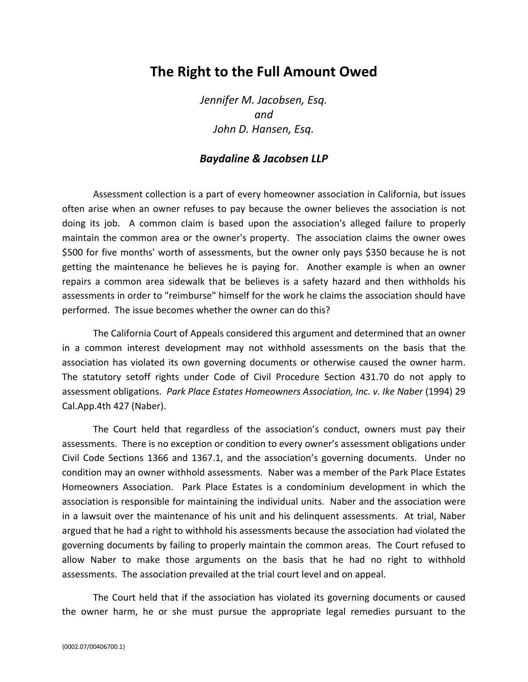## **The Right to the Full Amount Owed**

*Jennifer M. Jacobsen, Esq. and John D. Hansen, Esq.*

## *Baydaline & Jacobsen LLP*

Assessment collection is a part of every homeowner association in California, but issues often arise when an owner refuses to pay because the owner believes the association is not doing its job. A common claim is based upon the association's alleged failure to properly maintain the common area or the owner's property. The association claims the owner owes \$500 for five months' worth of assessments, but the owner only pays \$350 because he is not getting the maintenance he believes he is paying for. Another example is when an owner repairs a common area sidewalk that be believes is a safety hazard and then withholds his assessments in order to "reimburse" himself for the work he claims the association should have performed. The issue becomes whether the owner can do this?

The California Court of Appeals considered this argument and determined that an owner in a common interest development may not withhold assessments on the basis that the association has violated its own governing documents or otherwise caused the owner harm. The statutory setoff rights under Code of Civil Procedure Section 431.70 do not apply to assessment obligations. *Park Place Estates Homeowners Association, Inc. v. Ike Naber* (1994) 29 Cal.App.4th 427 (Naber).

The Court held that regardless of the association's conduct, owners must pay their assessments. There is no exception or condition to every owner's assessment obligations under Civil Code Sections 1366 and 1367.1, and the association's governing documents. Under no condition may an owner withhold assessments. Naber was a member of the Park Place Estates Homeowners Association. Park Place Estates is a condominium development in which the association is responsible for maintaining the individual units. Naber and the association were in a lawsuit over the maintenance of his unit and his delinquent assessments. At trial, Naber argued that he had a right to withhold his assessments because the association had violated the governing documents by failing to properly maintain the common areas. The Court refused to allow Naber to make those arguments on the basis that he had no right to withhold assessments. The association prevailed at the trial court level and on appeal.

The Court held that if the association has violated its governing documents or caused the owner harm, he or she must pursue the appropriate legal remedies pursuant to the